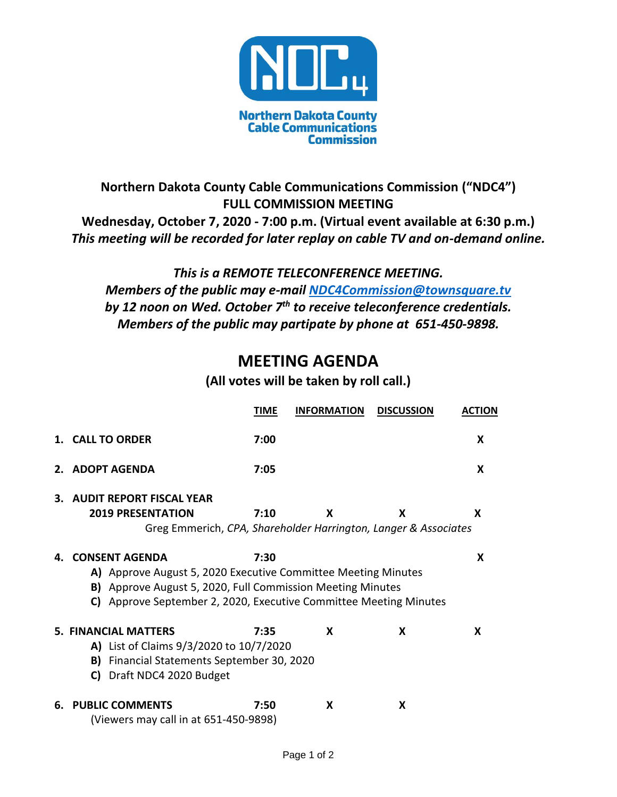

## **Northern Dakota County Cable Communications Commission ("NDC4") FULL COMMISSION MEETING Wednesday, October 7, 2020 - 7:00 p.m. (Virtual event available at 6:30 p.m.)** *This meeting will be recorded for later replay on cable TV and on-demand online.*

## *This is a REMOTE TELECONFERENCE MEETING. Members of the public may e-mail [NDC4Commission@townsquare.tv](mailto:NDC4Commission@townsquare.tv) by 12 noon on Wed. October 7th to receive teleconference credentials. Members of the public may partipate by phone at 651-450-9898.*

## **MEETING AGENDA**

## **(All votes will be taken by roll call.)**

|    |                                                                                                                                                                                                                                               | <b>TIME</b> | <b>INFORMATION</b> | <b>DISCUSSION</b> | <b>ACTION</b> |  |  |
|----|-----------------------------------------------------------------------------------------------------------------------------------------------------------------------------------------------------------------------------------------------|-------------|--------------------|-------------------|---------------|--|--|
|    | 1. CALL TO ORDER                                                                                                                                                                                                                              | 7:00        |                    |                   | X             |  |  |
| 2. | <b>ADOPT AGENDA</b>                                                                                                                                                                                                                           | 7:05        |                    |                   | X             |  |  |
| 3. | <b>AUDIT REPORT FISCAL YEAR</b><br><b>2019 PRESENTATION</b>                                                                                                                                                                                   | 7:10        | X                  | X                 | X             |  |  |
|    | Greg Emmerich, CPA, Shareholder Harrington, Langer & Associates                                                                                                                                                                               |             |                    |                   |               |  |  |
| 4. | <b>CONSENT AGENDA</b><br>7:30<br>X<br>A) Approve August 5, 2020 Executive Committee Meeting Minutes<br><b>B)</b> Approve August 5, 2020, Full Commission Meeting Minutes<br>C) Approve September 2, 2020, Executive Committee Meeting Minutes |             |                    |                   |               |  |  |
|    | <b>5. FINANCIAL MATTERS</b><br>X<br>X<br>7:35<br>x<br>A) List of Claims 9/3/2020 to 10/7/2020<br>Financial Statements September 30, 2020<br>B)<br>Draft NDC4 2020 Budget<br>C)                                                                |             |                    |                   |               |  |  |
| 6. | <b>PUBLIC COMMENTS</b><br>(Viewers may call in at 651-450-9898)                                                                                                                                                                               | 7:50        | X                  | X                 |               |  |  |